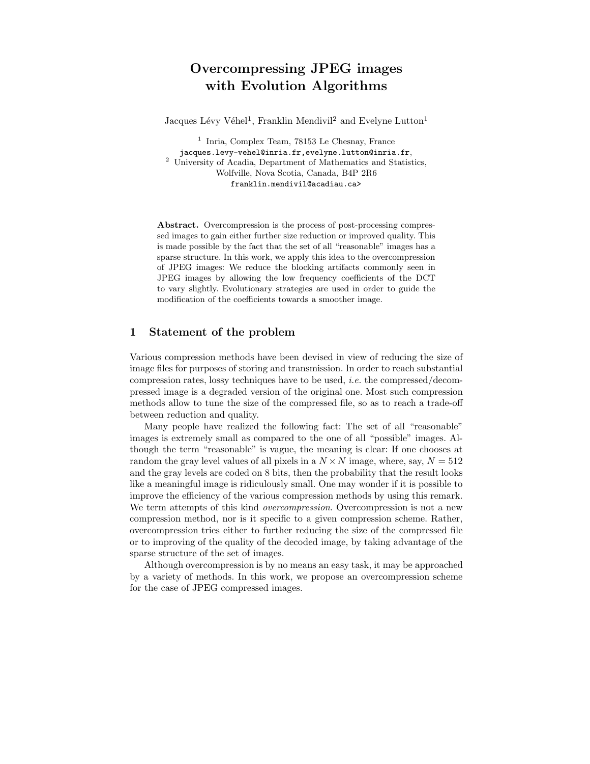# Overcompressing JPEG images with Evolution Algorithms

Jacques Lévy Véhel<sup>1</sup>, Franklin Mendivil<sup>2</sup> and Evelyne Lutton<sup>1</sup>

1 Inria, Complex Team, 78153 Le Chesnay, France jacques.levy-vehel@inria.fr,evelyne.lutton@inria.fr, <sup>2</sup> University of Acadia, Department of Mathematics and Statistics, Wolfville, Nova Scotia, Canada, B4P 2R6 franklin.mendivil@acadiau.ca>

Abstract. Overcompression is the process of post-processing compressed images to gain either further size reduction or improved quality. This is made possible by the fact that the set of all "reasonable" images has a sparse structure. In this work, we apply this idea to the overcompression of JPEG images: We reduce the blocking artifacts commonly seen in JPEG images by allowing the low frequency coefficients of the DCT to vary slightly. Evolutionary strategies are used in order to guide the modification of the coefficients towards a smoother image.

### 1 Statement of the problem

Various compression methods have been devised in view of reducing the size of image files for purposes of storing and transmission. In order to reach substantial compression rates, lossy techniques have to be used, i.e. the compressed/decompressed image is a degraded version of the original one. Most such compression methods allow to tune the size of the compressed file, so as to reach a trade-off between reduction and quality.

Many people have realized the following fact: The set of all "reasonable" images is extremely small as compared to the one of all "possible" images. Although the term "reasonable" is vague, the meaning is clear: If one chooses at random the gray level values of all pixels in a  $N \times N$  image, where, say,  $N = 512$ and the gray levels are coded on 8 bits, then the probability that the result looks like a meaningful image is ridiculously small. One may wonder if it is possible to improve the efficiency of the various compression methods by using this remark. We term attempts of this kind *overcompression*. Overcompression is not a new compression method, nor is it specific to a given compression scheme. Rather, overcompression tries either to further reducing the size of the compressed file or to improving of the quality of the decoded image, by taking advantage of the sparse structure of the set of images.

Although overcompression is by no means an easy task, it may be approached by a variety of methods. In this work, we propose an overcompression scheme for the case of JPEG compressed images.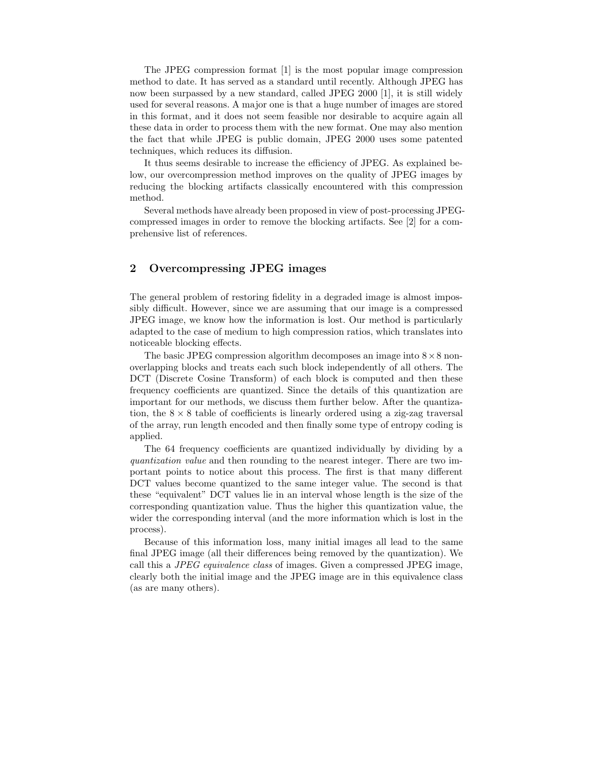The JPEG compression format [1] is the most popular image compression method to date. It has served as a standard until recently. Although JPEG has now been surpassed by a new standard, called JPEG 2000 [1], it is still widely used for several reasons. A major one is that a huge number of images are stored in this format, and it does not seem feasible nor desirable to acquire again all these data in order to process them with the new format. One may also mention the fact that while JPEG is public domain, JPEG 2000 uses some patented techniques, which reduces its diffusion.

It thus seems desirable to increase the efficiency of JPEG. As explained below, our overcompression method improves on the quality of JPEG images by reducing the blocking artifacts classically encountered with this compression method.

Several methods have already been proposed in view of post-processing JPEGcompressed images in order to remove the blocking artifacts. See [2] for a comprehensive list of references.

## 2 Overcompressing JPEG images

The general problem of restoring fidelity in a degraded image is almost impossibly difficult. However, since we are assuming that our image is a compressed JPEG image, we know how the information is lost. Our method is particularly adapted to the case of medium to high compression ratios, which translates into noticeable blocking effects.

The basic JPEG compression algorithm decomposes an image into  $8 \times 8$  nonoverlapping blocks and treats each such block independently of all others. The DCT (Discrete Cosine Transform) of each block is computed and then these frequency coefficients are quantized. Since the details of this quantization are important for our methods, we discuss them further below. After the quantization, the  $8 \times 8$  table of coefficients is linearly ordered using a zig-zag traversal of the array, run length encoded and then finally some type of entropy coding is applied.

The 64 frequency coefficients are quantized individually by dividing by a quantization value and then rounding to the nearest integer. There are two important points to notice about this process. The first is that many different DCT values become quantized to the same integer value. The second is that these "equivalent" DCT values lie in an interval whose length is the size of the corresponding quantization value. Thus the higher this quantization value, the wider the corresponding interval (and the more information which is lost in the process).

Because of this information loss, many initial images all lead to the same final JPEG image (all their differences being removed by the quantization). We call this a JPEG equivalence class of images. Given a compressed JPEG image, clearly both the initial image and the JPEG image are in this equivalence class (as are many others).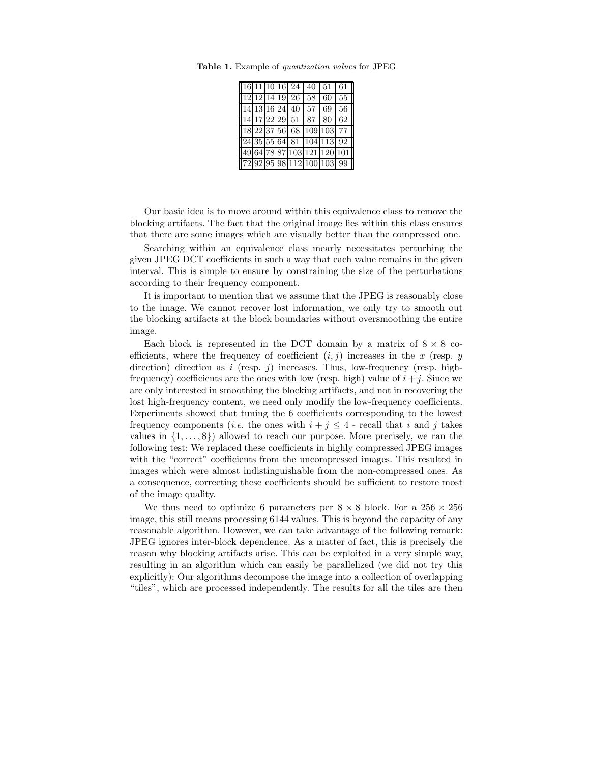|  |  | 16 11 10 16 24 | 40                               | 51                         | 61                          |
|--|--|----------------|----------------------------------|----------------------------|-----------------------------|
|  |  | 12 12 14 19 26 | 58                               | 60                         | 55                          |
|  |  | 14 13 16 24 40 | 57 69                            |                            | 56                          |
|  |  |                | $14 17 22 29\overline{51}$ 87 80 |                            | 62                          |
|  |  |                |                                  | 18 22 37 56 68 109 103 77  |                             |
|  |  |                |                                  | 24 35 55 64 81 104 113 92  |                             |
|  |  |                |                                  |                            | 49 64 78 87 103 121 120 101 |
|  |  |                |                                  | 72 92 95 98 112 100 103 99 |                             |

Table 1. Example of quantization values for JPEG

Our basic idea is to move around within this equivalence class to remove the blocking artifacts. The fact that the original image lies within this class ensures that there are some images which are visually better than the compressed one.

Searching within an equivalence class mearly necessitates perturbing the given JPEG DCT coefficients in such a way that each value remains in the given interval. This is simple to ensure by constraining the size of the perturbations according to their frequency component.

It is important to mention that we assume that the JPEG is reasonably close to the image. We cannot recover lost information, we only try to smooth out the blocking artifacts at the block boundaries without oversmoothing the entire image.

Each block is represented in the DCT domain by a matrix of  $8 \times 8$  coefficients, where the frequency of coefficient  $(i, j)$  increases in the x (resp. y direction) direction as i (resp. j) increases. Thus, low-frequency (resp. highfrequency) coefficients are the ones with low (resp. high) value of  $i + j$ . Since we are only interested in smoothing the blocking artifacts, and not in recovering the lost high-frequency content, we need only modify the low-frequency coefficients. Experiments showed that tuning the 6 coefficients corresponding to the lowest frequency components (*i.e.* the ones with  $i + j \leq 4$  - recall that i and j takes values in  $\{1, \ldots, 8\}$  allowed to reach our purpose. More precisely, we ran the following test: We replaced these coefficients in highly compressed JPEG images with the "correct" coefficients from the uncompressed images. This resulted in images which were almost indistinguishable from the non-compressed ones. As a consequence, correcting these coefficients should be sufficient to restore most of the image quality.

We thus need to optimize 6 parameters per  $8 \times 8$  block. For a  $256 \times 256$ image, this still means processing 6144 values. This is beyond the capacity of any reasonable algorithm. However, we can take advantage of the following remark: JPEG ignores inter-block dependence. As a matter of fact, this is precisely the reason why blocking artifacts arise. This can be exploited in a very simple way, resulting in an algorithm which can easily be parallelized (we did not try this explicitly): Our algorithms decompose the image into a collection of overlapping "tiles", which are processed independently. The results for all the tiles are then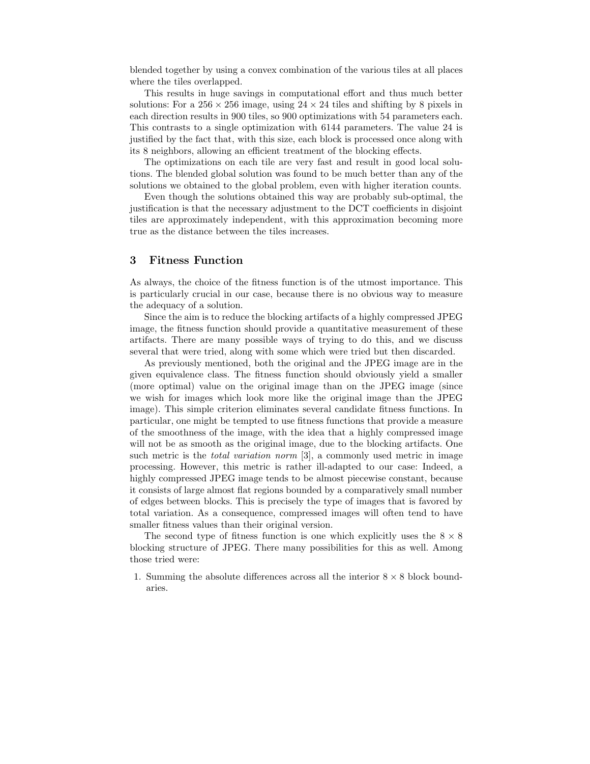blended together by using a convex combination of the various tiles at all places where the tiles overlapped.

This results in huge savings in computational effort and thus much better solutions: For a  $256 \times 256$  image, using  $24 \times 24$  tiles and shifting by 8 pixels in each direction results in 900 tiles, so 900 optimizations with 54 parameters each. This contrasts to a single optimization with 6144 parameters. The value 24 is justified by the fact that, with this size, each block is processed once along with its 8 neighbors, allowing an efficient treatment of the blocking effects.

The optimizations on each tile are very fast and result in good local solutions. The blended global solution was found to be much better than any of the solutions we obtained to the global problem, even with higher iteration counts.

Even though the solutions obtained this way are probably sub-optimal, the justification is that the necessary adjustment to the DCT coefficients in disjoint tiles are approximately independent, with this approximation becoming more true as the distance between the tiles increases.

#### 3 Fitness Function

As always, the choice of the fitness function is of the utmost importance. This is particularly crucial in our case, because there is no obvious way to measure the adequacy of a solution.

Since the aim is to reduce the blocking artifacts of a highly compressed JPEG image, the fitness function should provide a quantitative measurement of these artifacts. There are many possible ways of trying to do this, and we discuss several that were tried, along with some which were tried but then discarded.

As previously mentioned, both the original and the JPEG image are in the given equivalence class. The fitness function should obviously yield a smaller (more optimal) value on the original image than on the JPEG image (since we wish for images which look more like the original image than the JPEG image). This simple criterion eliminates several candidate fitness functions. In particular, one might be tempted to use fitness functions that provide a measure of the smoothness of the image, with the idea that a highly compressed image will not be as smooth as the original image, due to the blocking artifacts. One such metric is the *total variation norm* [3], a commonly used metric in image processing. However, this metric is rather ill-adapted to our case: Indeed, a highly compressed JPEG image tends to be almost piecewise constant, because it consists of large almost flat regions bounded by a comparatively small number of edges between blocks. This is precisely the type of images that is favored by total variation. As a consequence, compressed images will often tend to have smaller fitness values than their original version.

The second type of fitness function is one which explicitly uses the  $8 \times 8$ blocking structure of JPEG. There many possibilities for this as well. Among those tried were:

1. Summing the absolute differences across all the interior  $8 \times 8$  block boundaries.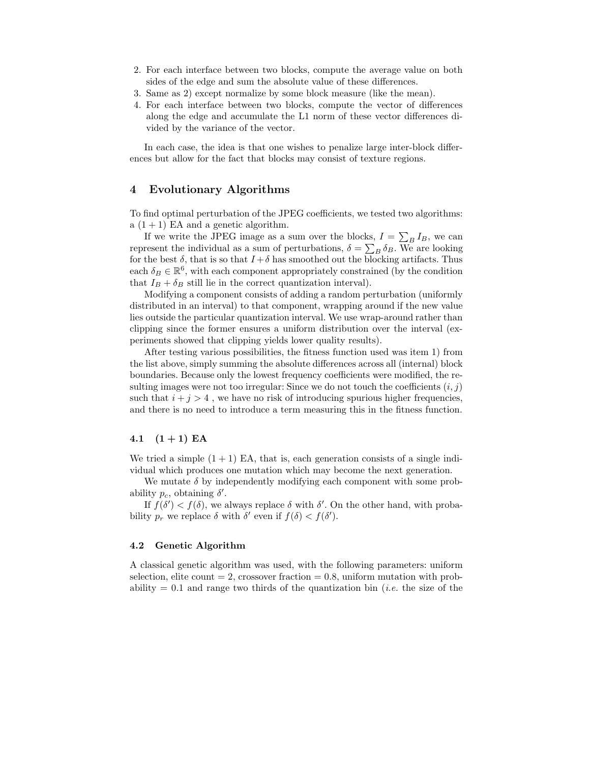- 2. For each interface between two blocks, compute the average value on both sides of the edge and sum the absolute value of these differences.
- 3. Same as 2) except normalize by some block measure (like the mean).
- 4. For each interface between two blocks, compute the vector of differences along the edge and accumulate the L1 norm of these vector differences divided by the variance of the vector.

In each case, the idea is that one wishes to penalize large inter-block differences but allow for the fact that blocks may consist of texture regions.

#### 4 Evolutionary Algorithms

To find optimal perturbation of the JPEG coefficients, we tested two algorithms: a  $(1 + 1)$  EA and a genetic algorithm.

If we write the JPEG image as a sum over the blocks,  $I = \sum_B I_B$ , we can represent the individual as a sum of perturbations,  $\delta = \sum_B \delta_B$ . We are looking for the best  $\delta$ , that is so that  $I + \delta$  has smoothed out the blocking artifacts. Thus each  $\delta_B \in \mathbb{R}^6$ , with each component appropriately constrained (by the condition that  $I_B + \delta_B$  still lie in the correct quantization interval).

Modifying a component consists of adding a random perturbation (uniformly distributed in an interval) to that component, wrapping around if the new value lies outside the particular quantization interval. We use wrap-around rather than clipping since the former ensures a uniform distribution over the interval (experiments showed that clipping yields lower quality results).

After testing various possibilities, the fitness function used was item 1) from the list above, simply summing the absolute differences across all (internal) block boundaries. Because only the lowest frequency coefficients were modified, the resulting images were not too irregular: Since we do not touch the coefficients  $(i, j)$ such that  $i + j > 4$ , we have no risk of introducing spurious higher frequencies, and there is no need to introduce a term measuring this in the fitness function.

#### 4.1  $(1 + 1)$  EA

We tried a simple  $(1 + 1)$  EA, that is, each generation consists of a single individual which produces one mutation which may become the next generation.

We mutate  $\delta$  by independently modifying each component with some probability  $p_c$ , obtaining  $\delta'$ .

If  $f(\delta') < f(\delta)$ , we always replace  $\delta$  with  $\delta'$ . On the other hand, with probability  $p_r$  we replace  $\delta$  with  $\delta'$  even if  $f(\delta) < f(\delta')$ .

#### 4.2 Genetic Algorithm

A classical genetic algorithm was used, with the following parameters: uniform selection, elite count  $= 2$ , crossover fraction  $= 0.8$ , uniform mutation with probability = 0.1 and range two thirds of the quantization bin (*i.e.* the size of the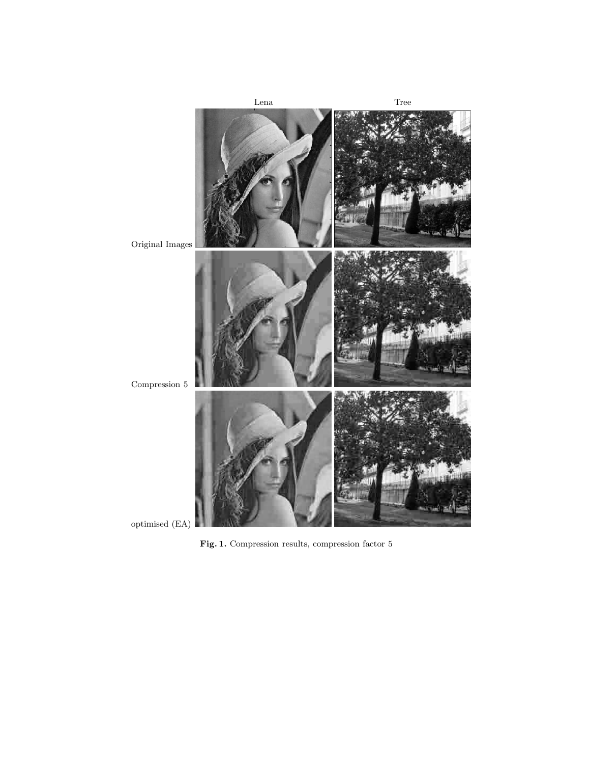

Fig. 1. Compression results, compression factor 5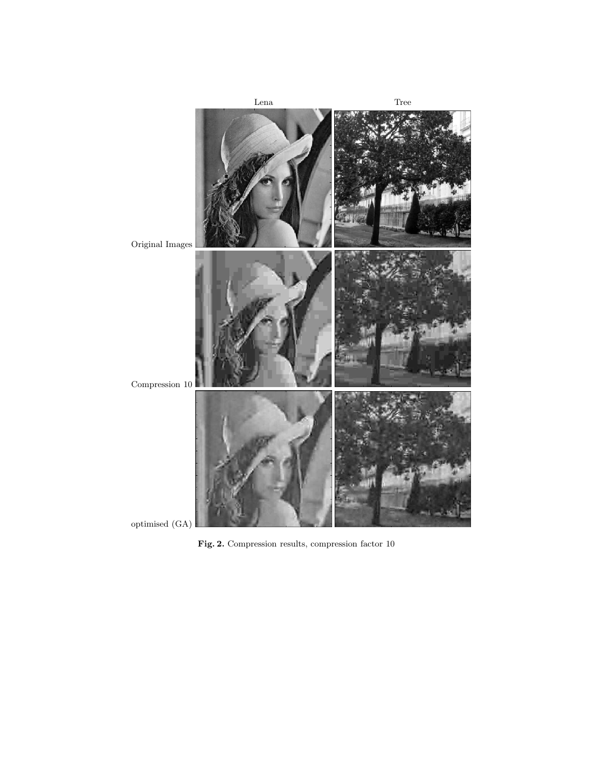

Fig. 2. Compression results, compression factor 10